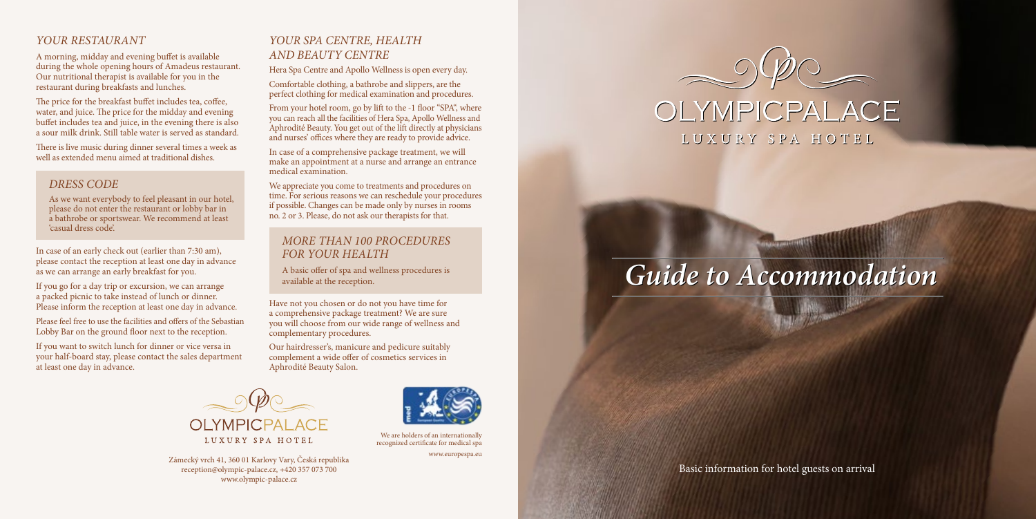#### *YOUR RESTAURANT*

A morning, midday and evening buffet is available during the whole opening hours of Amadeus restaurant. Our nutritional therapist is available for you in the restaurant during breakfasts and lunches.

The price for the breakfast buffet includes tea, coffee, water, and juice. The price for the midday and evening buffet includes tea and juice, in the evening there is also a sour milk drink. Still table water is served as standard.

There is live music during dinner several times a week as well as extended menu aimed at traditional dishes.

#### *DRESS CODE*

As we want everybody to feel pleasant in our hotel, please do not enter the restaurant or lobby bar in a bathrobe or sportswear. We recommend at least 'casual dress code'.

In case of an early check out (earlier than 7:30 am), please contact the reception at least one day in advance as we can arrange an early breakfast for you.

If you go for a day trip or excursion, we can arrange a packed picnic to take instead of lunch or dinner. Please inform the reception at least one day in advance.

Please feel free to use the facilities and offers of the Sebastian Lobby Bar on the ground floor next to the reception.

If you want to switch lunch for dinner or vice versa in your half-board stay, please contact the sales department at least one day in advance.

### *YOUR SPA CENTRE, HEALTH AND BEAUTY CENTRE*

Hera Spa Centre and Apollo Wellness is open every day.

Comfortable clothing, a bathrobe and slippers, are the perfect clothing for medical examination and procedures.

From your hotel room, go by lift to the -1 floor "SPA", where you can reach all the facilities of Hera Spa, Apollo Wellness and Aphrodité Beauty. You get out of the lift directly at physicians and nurses' offices where they are ready to provide advice.

In case of a comprehensive package treatment, we will make an appointment at a nurse and arrange an entrance medical examination.

We appreciate you come to treatments and procedures on time. For serious reasons we can reschedule your procedures if possible. Changes can be made only by nurses in rooms no. 2 or 3. Please, do not ask our therapists for that.

#### *MORE THAN 100 PROCEDURES FOR YOUR HEALTH*

A basic offer of spa and wellness procedures is available at the reception.

Have not you chosen or do not you have time for a comprehensive package treatment? We are sure you will choose from our wide range of wellness and complementary procedures.

Our hairdresser's, manicure and pedicure suitably complement a wide offer of cosmetics services in Aphrodité Beauty Salon.



Zámecký vrch 41, 360 01 Karlovy Vary, Česká republika reception@olympic-palace.cz, +420 357 073 700 www.olympic-palace.cz



We are holders of an internationally recognized certificate for medical spa

www.europespa.eu



## OLYMPICPALACE LUXURY SPA HOTEL

# *Guide to Accommodation Guide to Accommodation*

Basic information for hotel guests on arrival